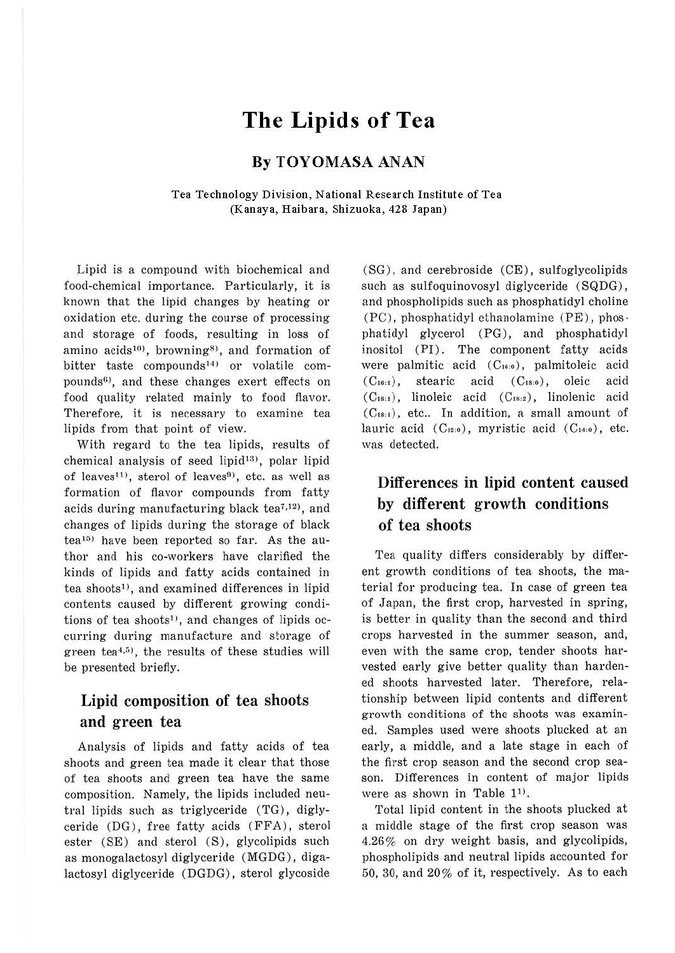# **The Lipids of Tea**

#### **By TOYOMASA ANAN**

**Tea Technology Division, National Research Institute of Tea (Kanaya, Haibara, Shizuoka, 428 Japan)** 

Lipid is a compound with biochemical and food-chemical importance. Particularly, it is known that the lipid changes by heating or oxidation etc. during the course of processing and storage of foods, resulting in loss of amino acids<sup>10)</sup>, browning<sup>8)</sup>, and formation of bitter taste compounds<sup>14)</sup> or volatile compounds<sup>6)</sup>, and these changes exert effects on food quality related mainly to food flavor. Therefore, it is necessary to examine tea lipids from that point of view.

With regard to the tea lipids, results of chemical analysis of seed lipid $13$ , polar lipid of leaves<sup>11)</sup>, sterol of leaves<sup>9</sup>), etc. as well as formation of flavor compounds from fatty acids during manufacturing black tea<sup>7,12)</sup>, and changes of lipids during the storage of black tea<sup>15)</sup> have been reported so far. As the author and his co-workers have clarified the kinds of lipids and fatty acids contained in tea shoots<sup>1</sup>), and examined differences in lipid contents caused by different growing conditions of tea shoots<sup>1)</sup>, and changes of lipids occurring during manufacture and storage of green tea<sup>4,5</sup>), the results of these studies will be presented briefly.

### Lipid composition of tea shoots and green tea

Analysis of lipids and fatty acids of tea shoots and green tea made it clear that those of tea shoots and green tea have the same composition. Namely, the lipids included neutral lipids such as triglyceride (TG), diglyceride (DG), free fatty acids (FFA), sterol ester (SE) and sterol (S), glycolipids such as monogalactosyl diglyceride (MGDG), digalactosyl diglyceride (DGDG), sterol glycoside

(SG), and cerebroside (CE), sulfoglycolipids such as sulfoquinovosyl diglyceride (SQDG), and phospholipids such as phosphatidyl choline (PC), phosphatidyl ethanolamine (PE), phos· phatidyl glycerol (PG), and phosphatidyl inositol (PI). The component fatty acids were palmitic acid (C16,o) , palmitoleic acid  $(C<sub>16:1</sub>)$ , stearic acid  $(C<sub>18:0</sub>)$ , oleic acid  $(C<sub>18:1</sub>)$ , linoleic acid  $(C<sub>18:2</sub>)$ , linolenic acid  $(C_{18:1})$ , etc.. In addition, a small amount of lauric acid  $(C_{12:0})$ , myristic acid  $(C_{14:0})$ , etc. was detected.

# Differences in lipid content caused by different growth conditions of tea shoots

Tea quality differs considerably by different growth conditions of tea shoots, the material for producing tea. In case of green tea of Japan, the first crop, harvested in spring, is better in quality than the second and third crops harvested in the summer season, and, even with the same crop, tender shoots harvested early give better quality than hardened shoots harvested later. Therefore, relationship between lipid contents and different growth conditions of the shoots was examined. Samples used were shoots plucked at an early, a middle, and a late stage in each of the first crop season and the second crop season. Differences in content of major lipids were as shown in Table 1<sup>1</sup>.

Total lipid content in the shoots plucked at a middle stage of the first crop season was 4.26% on dry weight basis, and glycolipids, phospholipids and neutral lipids accounted for 50, 30, and 20% of it, respectively. As to each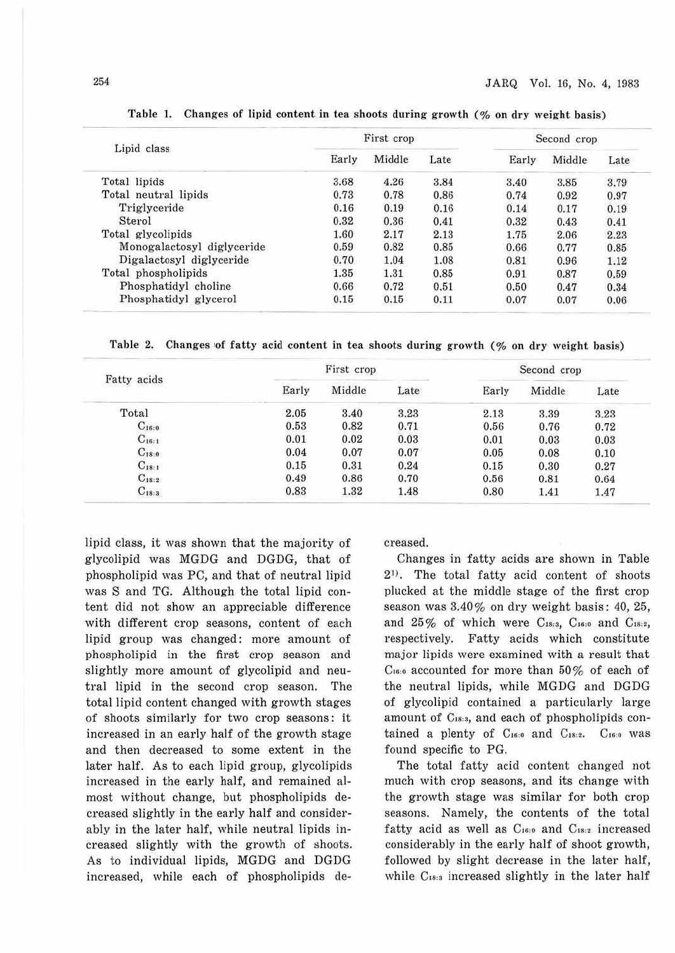|                            |       | First crop |      |       | Second crop |      |
|----------------------------|-------|------------|------|-------|-------------|------|
| Lipid class                | Early | Middle     | Late | Early | Middle      | Late |
| Total lipids               | 3.68  | 4.26       | 3.84 | 3.40  | 3.85        | 3.79 |
| Total neutral lipids       | 0.73  | 0.78       | 0.86 | 0.74  | 0.92        | 0.97 |
| Triglyceride               | 0.16  | 0.19       | 0.16 | 0.14  | 0.17        | 0.19 |
| Sterol                     | 0.32  | 0.36       | 0.41 | 0.32  | 0.43        | 0.41 |
| Total glycolipids          | 1.60  | 2.17       | 2.13 | 1.75  | 2.06        | 2.23 |
| Monogalactosyl diglyceride | 0.59  | 0.82       | 0.85 | 0.66  | 0.77        | 0.85 |
| Digalactosyl diglyceride   | 0.70  | 1.04       | 1.08 | 0.81  | 0.96        | 1.12 |
| Total phospholipids        | 1.35  | 1.31       | 0.85 | 0.91  | 0.87        | 0.59 |
| Phosphatidyl choline       | 0.66  | 0.72       | 0.51 | 0.50  | 0.47        | 0.34 |
| Phosphatidyl glycerol      | 0.15  | 0.15       | 0.11 | 0.07  | 0.07        | 0.06 |

Table 1. Changes of lipid content in tea shoots during growth  $(\%$  on dry weight basis)

Table 2. Changes of fatty acid content in tea shoots during growth (% on dry weight basis)

|             |       | First crop |      |       | Second crop |      |
|-------------|-------|------------|------|-------|-------------|------|
| Fatty acids | Early | Middle     | Late | Early | Middle      | Late |
| Total       | 2.05  | 3.40       | 3.23 | 2.13  | 3.39        | 3.23 |
| $C_{16:0.}$ | 0.53  | 0.82       | 0.71 | 0.56  | 0.76        | 0.72 |
| $C_{16:1}$  | 0.01  | 0.02       | 0.03 | 0.01  | 0.03        | 0.03 |
| $C_{18:0}$  | 0.04  | 0.07       | 0.07 | 0.05  | 0.08        | 0.10 |
| $C_{18:1}$  | 0.15  | 0.31       | 0.24 | 0.15  | 0.30        | 0.27 |
| $C_{18:2}$  | 0.49  | 0.86       | 0.70 | 0.56  | 0.81        | 0.64 |
| $C_{18:3}$  | 0.83  | 1.32       | 1.48 | 0.80  | 1.41        | 1.47 |

lipid class, it was shown that the majority of glycolipid was MGDG and DGDG, that of phospholipid was PC, and that of neutral lipid was S and TG. Although the total lipid content did not show an appreciable difference with different crop seasons, content of each lipid group was changed: more amount of phospholipid in the first crop season and slightly more amount of glycolipid and neutral lipid in the second crop season. The total lipid content changed with growth stages of shoots similarly for two crop seasons: it increased in an early half of the growth stage and then decreased to some extent in the later half. As to each lipid group, glycolipids increased in the early half, and remained almost without change, but phospholipids decreased slightly in the early half and considerably in the later half, while neutral lipids increased slightly with the growth of shoots. As to individual lipids, MGDG and DGDG increased, while each of phospholipids decreased.

Changes in fatty acids are shown in Table 21). The total fatty acid content of shoots plucked at the middle stage of the first crop season was 3.40% on dry weight basis: 40, 25, and  $25\%$  of which were C18:3, C16:0 and C18:2, respectively. Fatty acids which constitute major lipids were examined with a result that  $C<sub>16:0</sub>$  accounted for more than  $50\%$  of each of the neutral lipids, while MGDG and DGDG of glycolipid contained a particularly large amount of C<sub>18:3</sub>, and each of phospholipids contained a plenty of  $C_{16:0}$  and  $C_{18:2}$ .  $C_{16:0}$  was found specific to PG.

The total fatty acid content changed not much with crop seasons, and its change with the growth stage was similar for both crop seasons. Namely, the contents of the total fatty acid as well as  $C_{16:0}$  and  $C_{18:2}$  increased considerably in the early half of shoot growth, followed by slight decrease in the later half, while C<sub>18:3</sub> increased slightly in the later half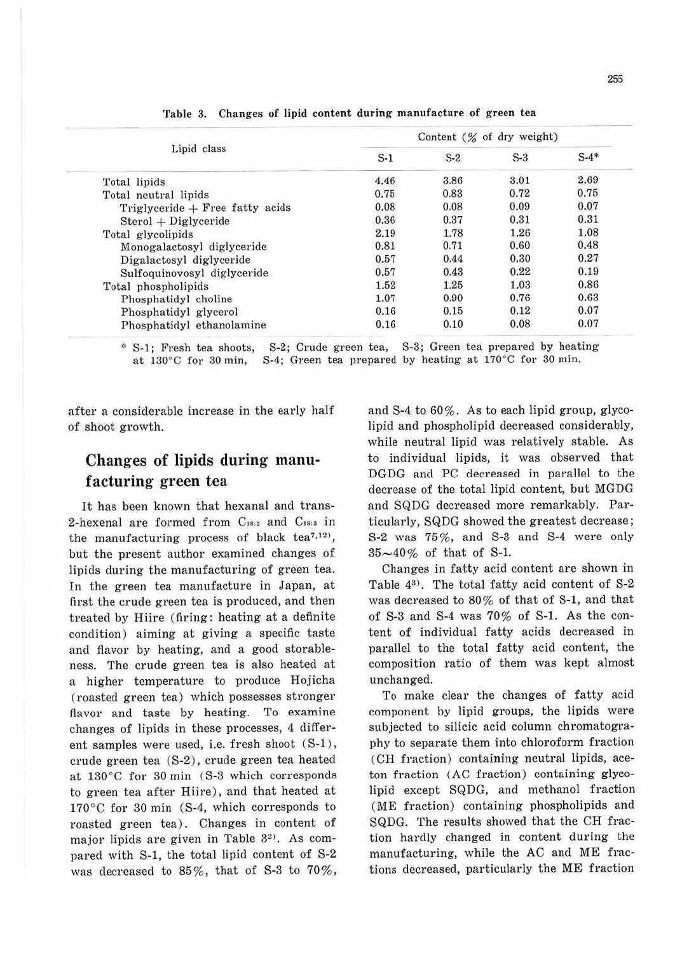|                                   |       | Content $(\frac{\omega}{\omega})$ of dry weight) |       |        |
|-----------------------------------|-------|--------------------------------------------------|-------|--------|
| Lipid class                       | $S-1$ | $S-2$                                            | $S-3$ | $S-4*$ |
| Total lipids                      | 4.46  | 3.86                                             | 3.01  | 2.69   |
| Total neutral lipids              | 0.75  | 0.83                                             | 0.72  | 0.75   |
| $Triglyceride + Free fatty acids$ | 0.08  | 0.08                                             | 0.09  | 0.07   |
| $Sterol + Diglyceride$            | 0.36  | 0.37                                             | 0.31  | 0.31   |
| Total glycolipids                 | 2.19  | 1.78                                             | 1.26  | 1.08   |
| Monogalactosyl diglyceride        | 0.81  | 0.71                                             | 0.60  | 0.48   |
| Digalactosyl diglyceride          | 0.57  | 0.44                                             | 0.30  | 0.27   |
| Sulfoquinovosyl diglyceride       | 0.57  | 0.43                                             | 0.22  | 0.19   |
| Total phospholipids               | 1.52  | 1.25                                             | 1.03  | 0.86   |
| Phosphatidyl choline              | 1.07  | 0.90                                             | 0.76  | 0.63   |
| Phosphatidyl glycerol             | 0.16  | 0.15                                             | 0.12  | 0.07   |
| Phosphatidyl ethanolamine         | 0.16  | 0.10                                             | 0.08  | 0.07   |

Table 3. Changes of lipid content during manufacture of green tea

\* S-1: Fresh tea shoots, at 130°C for 30 min, S-2; Crude green tea, S-3; Green tea prepared by heating S-4: Green tea prepared by heating at 170°C for 30 min.

after a considerable increase in the early half of shoot growth.

#### Changes of lipids during manufacturing green tea

It has been known that hexanal and trans-2-hexenal are formed from C<sub>18:2</sub> and C<sub>18:3</sub> in the manufacturing process of black tea<sup>7,12</sup>, but the present author examined changes of lipids during the manufacturing of green tea. In the green tea manufacture in Japan, at first the crude green tea is produced, and then treated by Hiire (firing: heating at a definite condition) aiming at giving a specific taste and flavor by heating, and a good storableness. The crude green tea is also heated at a higher temperature to produce Hojicha (roasted green tea) which possesses stronger flavor and taste by heating. To examine changes of lipids in these processes, 4 different samples were used, i.e. fresh shoot (S-1), crude green tea (S-2), crude green tea heated at 130°C for 30 min (S-3 which corresponds to green tea after Hiire), and that heated at 170°C for 30 min (S-4, which corresponds to roasted green tea). Changes in content of major lipids are given in Table 3<sup>2)</sup>. As compared with S-1, the total lipid content of S-2 was decreased to 85%, that of S-3 to 70%, and S-4 to 60%. As to each lipid group, glyco-Jipid and phospholipid decreased considerably, while neutral lipid was relatively stable. As to individual lipids, it was observed that DGDG and PC decreased in parallel to the decrease of the total lipid content, but MGDG and SQDG decreased more remarkably. Particularly, SQDG showed the greatest decrease; S-2 was 75%, and S-3 and S-4 were only 35-40% of that of S-1.

Changes in fatty acid content are shown in Table  $4^3$ ). The total fatty acid content of S-2 was decreased to 80% of that of S-1, and that of S-3 and S-4 was 70% of S-1. As the content of individual fatty acids decreased in parallel to the total fatty acid content, the composition ratio of them was kept almost unchanged.

To make clear the changes of fatty acid component by lipid groups, the lipids were subjected to silicic acid column chromatography to separate them into chloroform fraction (CH fraction) containing neutral lipids, aceton fraction ( AC fraction) containing glycolipid except SQDG, and methanol fraction (ME fraction) containing phospholipids and SQDG. The results showed that the CH fraction hardly changed in content during the manufacturing, while the AC and ME fractions decreased, particularly the ME fraction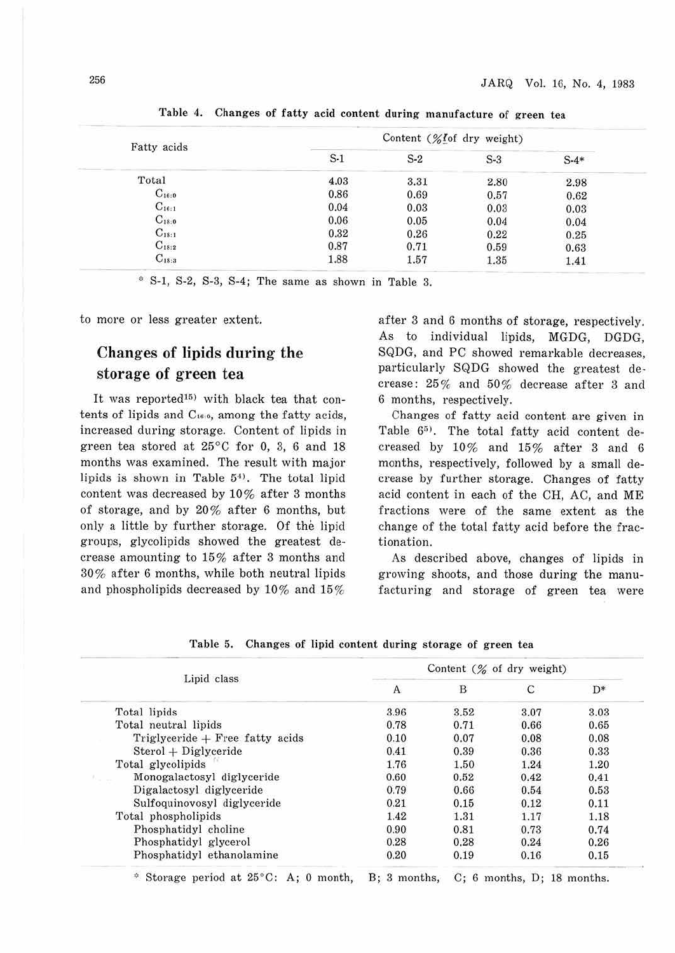| Fatty acids |       | Content (%Iof dry weight) |       |        |  |  |
|-------------|-------|---------------------------|-------|--------|--|--|
|             | $S-1$ | $S-2$                     | $S-3$ | $S-4*$ |  |  |
| Total       | 4.03  | 3.31                      | 2.80  | 2.98   |  |  |
| $C_{16:0}$  | 0.86  | 0.69                      | 0.57  | 0.62   |  |  |
| $C_{16:1}$  | 0.04  | 0.03                      | 0.03  | 0.03   |  |  |
| $C_{18:0}$  | 0.06  | 0.05                      | 0.04  | 0.04   |  |  |
| $C_{18:1}$  | 0.32  | 0.26                      | 0.22  | 0.25   |  |  |
| $C_{18:2}$  | 0.87  | 0.71                      | 0.59  | 0.63   |  |  |
| $C_{18:3}$  | 1.88  | 1.57                      | 1.35  | 1.41   |  |  |

Table 4. Changes of fatty acid content during manufacture of green tea

" S-1, S-2, S-3, S-4; The same as shown in Table 3.

to more or less greater extent.

## **Changes of lipids during the storage of green tea**

It was reported<sup>15)</sup> with black tea that contents of lipids and  $C_{16.0}$ , among the fatty acids, increased during storage. Content of lipids in green tea stored at 25°C for 0, 3, 6 and 18 months was examined. The result with major lipids is shown in Table  $5<sup>4</sup>$ . The total lipid content was decreased by 10% after 3 months of storage, and by 20% after 6 months, but only a little by further storage. Of the lipid groups, glycolipids showed the greatest decrease amounting to 15% after 3 months and 30% after 6 months, while both neutral lipids and phospholipids decreased by 10% and 15% after 3 and 6 months of storage, respectively. As to individual lipids, MGDG, DGDG, SQDG, and PC showed remarkable decreases, particularly SQDG showed the greatest decrease: 25 % and 50 % decrease after 3 and 6 months, respectively.

Changes of fatty acid content are given in Table  $6^{5}$ ). The total fatty acid content decreased by 10% and 15% after 3 and 6 months, respectively, followed by a small decrease by further storage. Changes of fatty acid content in each of the CH, AC, and ME fractions were of the same extent as the change of the total fatty acid before the fractionation.

As described above, changes of lipids in growing shoots, and those during the manufacturing and storage of green tea were

| Lipid class                                                                              |      | Content $(\%$ of dry weight) |      |       |  |  |
|------------------------------------------------------------------------------------------|------|------------------------------|------|-------|--|--|
|                                                                                          | A    | B                            | C    | $D^*$ |  |  |
| Total lipids                                                                             | 3.96 | 3.52                         | 3.07 | 3.03  |  |  |
| Total neutral lipids                                                                     | 0.78 | 0.71                         | 0.66 | 0.65  |  |  |
| $Trightyceride + Free fatty acids$                                                       | 0.10 | 0.07                         | 0.08 | 0.08  |  |  |
| $Sterol + Diglyceride$                                                                   | 0.41 | 0.39                         | 0.36 | 0.33  |  |  |
| Total glycolipids                                                                        | 1.76 | 1.50                         | 1.24 | 1.20  |  |  |
| Monogalactosyl diglyceride                                                               | 0.60 | 0.52                         | 0.42 | 0.41  |  |  |
| Digalactosyl diglyceride                                                                 | 0.79 | 0.66                         | 0.54 | 0.53  |  |  |
| Sulfoquinovosyl diglyceride                                                              | 0.21 | 0.15                         | 0.12 | 0.11  |  |  |
| Total phospholipids                                                                      | 1.42 | 1.31                         | 1.17 | 1.18  |  |  |
| Phosphatidyl choline                                                                     | 0.90 | 0.81                         | 0.73 | 0.74  |  |  |
| Phosphatidyl glycerol                                                                    | 0.28 | 0.28                         | 0.24 | 0.26  |  |  |
| Phosphatidyl ethanolamine                                                                | 0.20 | 0.19                         | 0.16 | 0.15  |  |  |
| <sup>®</sup> Storage period at 25°C: A; 0 month, B; 3 months, C; 6 months, D; 18 months. |      |                              |      |       |  |  |

Table 5. Changes of lipid content during storage of green tea